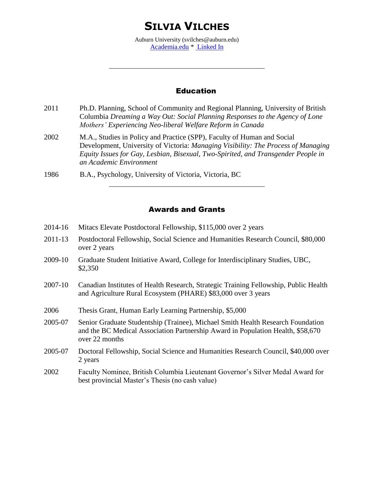# **SILVIA VILCHES**

Auburn University (svilches@auburn.edu) [Academia.edu](https://royalroads.academia.edu/SilviaVilches) \* [Linked In](https://www.linkedin.com/pub/silvia-vilches/13/a10/58)

### Education

- 2011 Ph.D. Planning, School of Community and Regional Planning, University of British Columbia *Dreaming a Way Out: Social Planning Responses to the Agency of Lone Mothers' Experiencing Neo-liberal Welfare Reform in Canada*
- 2002 M.A., Studies in Policy and Practice (SPP), Faculty of Human and Social Development, University of Victoria: *Managing Visibility: The Process of Managing Equity Issues for Gay, Lesbian, Bisexual, Two-Spirited, and Transgender People in an Academic Environment*
- 1986 B.A., Psychology, University of Victoria, Victoria, BC

# Awards and Grants

- 2014-16 Mitacs Elevate Postdoctoral Fellowship, \$115,000 over 2 years
- 2011-13 Postdoctoral Fellowship, Social Science and Humanities Research Council, \$80,000 over 2 years
- 2009-10 Graduate Student Initiative Award, College for Interdisciplinary Studies, UBC, \$2,350
- 2007-10 Canadian Institutes of Health Research, Strategic Training Fellowship, Public Health and Agriculture Rural Ecosystem (PHARE) \$83,000 over 3 years
- 2006 Thesis Grant, Human Early Learning Partnership, \$5,000
- 2005-07 Senior Graduate Studentship (Trainee), Michael Smith Health Research Foundation and the BC Medical Association Partnership Award in Population Health, \$58,670 over 22 months
- 2005-07 Doctoral Fellowship, Social Science and Humanities Research Council, \$40,000 over 2 years
- 2002 Faculty Nominee, British Columbia Lieutenant Governor's Silver Medal Award for best provincial Master's Thesis (no cash value)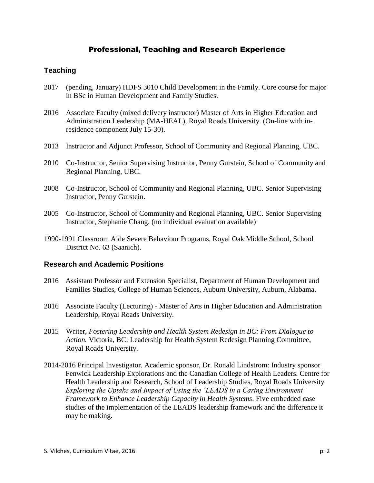# Professional, Teaching and Research Experience

# **Teaching**

- 2017 (pending, January) HDFS 3010 Child Development in the Family. Core course for major in BSc in Human Development and Family Studies.
- 2016 Associate Faculty (mixed delivery instructor) Master of Arts in Higher Education and Administration Leadership (MA-HEAL), Royal Roads University. (On-line with inresidence component July 15-30).
- 2013 Instructor and Adjunct Professor, School of Community and Regional Planning, UBC.
- 2010 Co-Instructor, Senior Supervising Instructor, Penny Gurstein, School of Community and Regional Planning, UBC.
- 2008 Co-Instructor, School of Community and Regional Planning, UBC. Senior Supervising Instructor, Penny Gurstein.
- 2005 Co-Instructor, School of Community and Regional Planning, UBC. Senior Supervising Instructor, Stephanie Chang. (no individual evaluation available)
- 1990-1991 Classroom Aide Severe Behaviour Programs, Royal Oak Middle School, School District No. 63 (Saanich).

# **Research and Academic Positions**

- 2016 Assistant Professor and Extension Specialist, Department of Human Development and Families Studies, College of Human Sciences, Auburn University, Auburn, Alabama.
- 2016 Associate Faculty (Lecturing) Master of Arts in Higher Education and Administration Leadership, Royal Roads University.
- 2015 Writer, *Fostering Leadership and Health System Redesign in BC: From Dialogue to Action.* Victoria, BC: Leadership for Health System Redesign Planning Committee, Royal Roads University.
- 2014-2016 Principal Investigator. Academic sponsor, Dr. Ronald Lindstrom: Industry sponsor Fenwick Leadership Explorations and the Canadian College of Health Leaders. Centre for Health Leadership and Research, School of Leadership Studies, Royal Roads University *Exploring the Uptake and Impact of Using the 'LEADS in a Caring Environment' Framework to Enhance Leadership Capacity in Health Systems*. Five embedded case studies of the implementation of the LEADS leadership framework and the difference it may be making.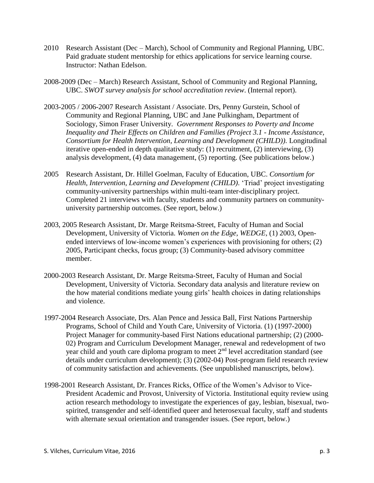- 2010 Research Assistant (Dec March), School of Community and Regional Planning, UBC. Paid graduate student mentorship for ethics applications for service learning course. Instructor: Nathan Edelson.
- 2008-2009 (Dec March) Research Assistant, School of Community and Regional Planning, UBC. *SWOT survey analysis for school accreditation review*. (Internal report).
- 2003-2005 / 2006-2007 Research Assistant / Associate. Drs, Penny Gurstein, School of Community and Regional Planning, UBC and Jane Pulkingham, Department of Sociology, Simon Fraser University. *Government Responses to Poverty and Income Inequality and Their Effects on Children and Families (Project 3.1 - Income Assistance, Consortium for Health Intervention, Learning and Development (CHILD)).* Longitudinal iterative open-ended in depth qualitative study: (1) recruitment, (2) interviewing, (3) analysis development, (4) data management, (5) reporting. (See publications below.)
- 2005 Research Assistant, Dr. Hillel Goelman, Faculty of Education, UBC. *Consortium for Health, Intervention, Learning and Development (CHILD)*. 'Triad' project investigating community-university partnerships within multi-team inter-disciplinary project. Completed 21 interviews with faculty, students and community partners on communityuniversity partnership outcomes. (See report, below.)
- 2003, 2005 Research Assistant, Dr. Marge Reitsma-Street, Faculty of Human and Social Development, University of Victoria. *Women on the Edge, WEDGE,* (1) 2003, Openended interviews of low-income women's experiences with provisioning for others; (2) 2005, Participant checks, focus group; (3) Community-based advisory committee member.
- 2000-2003 Research Assistant, Dr. Marge Reitsma-Street, Faculty of Human and Social Development, University of Victoria. Secondary data analysis and literature review on the how material conditions mediate young girls' health choices in dating relationships and violence.
- 1997-2004 Research Associate, Drs. Alan Pence and Jessica Ball, First Nations Partnership Programs, School of Child and Youth Care, University of Victoria. (1) (1997-2000) Project Manager for community-based First Nations educational partnership; (2) (2000- 02) Program and Curriculum Development Manager, renewal and redevelopment of two year child and youth care diploma program to meet  $2<sup>nd</sup>$  level accreditation standard (see details under curriculum development); (3) (2002-04) Post-program field research review of community satisfaction and achievements. (See unpublished manuscripts, below).
- 1998-2001 Research Assistant, Dr. Frances Ricks, Office of the Women's Advisor to Vice-President Academic and Provost, University of Victoria. Institutional equity review using action research methodology to investigate the experiences of gay, lesbian, bisexual, twospirited, transgender and self-identified queer and heterosexual faculty, staff and students with alternate sexual orientation and transgender issues. (See report, below.)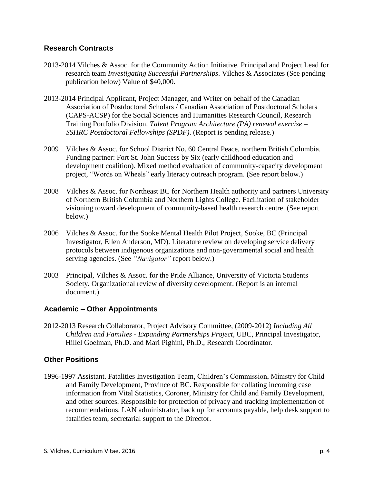# **Research Contracts**

- 2013-2014 Vilches & Assoc. for the Community Action Initiative. Principal and Project Lead for research team *Investigating Successful Partnerships*. Vilches & Associates (See pending publication below) Value of \$40,000.
- 2013-2014 Principal Applicant, Project Manager, and Writer on behalf of the Canadian Association of Postdoctoral Scholars / Canadian Association of Postdoctoral Scholars (CAPS-ACSP) for the Social Sciences and Humanities Research Council, Research Training Portfolio Division. *Talent Program Architecture (PA) renewal exercise – SSHRC Postdoctoral Fellowships (SPDF)*. (Report is pending release.)
- 2009 Vilches & Assoc. for School District No. 60 Central Peace, northern British Columbia. Funding partner: Fort St. John Success by Six (early childhood education and development coalition). Mixed method evaluation of community-capacity development project, "Words on Wheels" early literacy outreach program. (See report below.)
- 2008 Vilches & Assoc. for Northeast BC for Northern Health authority and partners University of Northern British Columbia and Northern Lights College. Facilitation of stakeholder visioning toward development of community-based health research centre. (See report below.)
- 2006 Vilches & Assoc. for the Sooke Mental Health Pilot Project, Sooke, BC (Principal Investigator, Ellen Anderson, MD). Literature review on developing service delivery protocols between indigenous organizations and non-governmental social and health serving agencies. (See *"Navigator"* report below.)
- 2003 Principal, Vilches & Assoc. for the Pride Alliance, University of Victoria Students Society. Organizational review of diversity development. (Report is an internal document.)

# **Academic – Other Appointments**

2012-2013 Research Collaborator, Project Advisory Committee, (2009-2012) *Including All Children and Families - Expanding Partnerships Project*, UBC, Principal Investigator, Hillel Goelman, Ph.D. and Mari Pighini, Ph.D., Research Coordinator.

# **Other Positions**

1996-1997 Assistant. Fatalities Investigation Team, Children's Commission, Ministry for Child and Family Development, Province of BC. Responsible for collating incoming case information from Vital Statistics, Coroner, Ministry for Child and Family Development, and other sources. Responsible for protection of privacy and tracking implementation of recommendations. LAN administrator, back up for accounts payable, help desk support to fatalities team, secretarial support to the Director.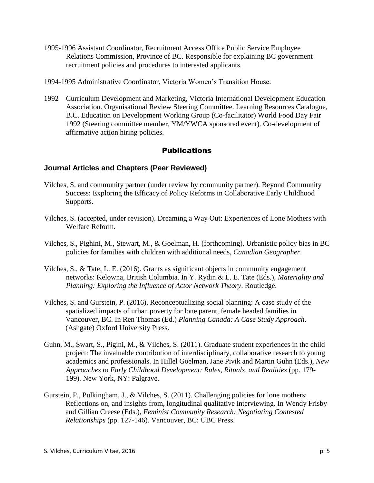- 1995-1996 Assistant Coordinator, Recruitment Access Office Public Service Employee Relations Commission, Province of BC. Responsible for explaining BC government recruitment policies and procedures to interested applicants.
- 1994-1995 Administrative Coordinator, Victoria Women's Transition House.
- 1992 Curriculum Development and Marketing, Victoria International Development Education Association. Organisational Review Steering Committee. Learning Resources Catalogue, B.C. Education on Development Working Group (Co-facilitator) World Food Day Fair 1992 (Steering committee member, YM/YWCA sponsored event). Co-development of affirmative action hiring policies.

# Publications

#### **Journal Articles and Chapters (Peer Reviewed)**

- Vilches, S. and community partner (under review by community partner). Beyond Community Success: Exploring the Efficacy of Policy Reforms in Collaborative Early Childhood Supports.
- Vilches, S. (accepted, under revision). Dreaming a Way Out: Experiences of Lone Mothers with Welfare Reform.
- Vilches, S., Pighini, M., Stewart, M., & Goelman, H. (forthcoming). Urbanistic policy bias in BC policies for families with children with additional needs, *Canadian Geographer*.
- Vilches, S., & Tate, L. E. (2016). Grants as significant objects in community engagement networks: Kelowna, British Columbia. In Y. Rydin & L. E. Tate (Eds.), *Materiality and Planning: Exploring the Influence of Actor Network Theory*. Routledge.
- Vilches, S. and Gurstein, P. (2016). Reconceptualizing social planning: A case study of the spatialized impacts of urban poverty for lone parent, female headed families in Vancouver, BC. In Ren Thomas (Ed.) *Planning Canada: A Case Study Approach*. (Ashgate) Oxford University Press.
- Guhn, M., Swart, S., Pigini, M., & Vilches, S. (2011). Graduate student experiences in the child project: The invaluable contribution of interdisciplinary, collaborative research to young academics and professionals. In Hillel Goelman, Jane Pivik and Martin Guhn (Eds.), *New Approaches to Early Childhood Development: Rules, Rituals, and Realities* (pp. 179- 199). New York, NY: Palgrave.
- Gurstein, P., Pulkingham, J., & Vilches, S. (2011). Challenging policies for lone mothers: Reflections on, and insights from, longitudinal qualitative interviewing. In Wendy Frisby and Gillian Creese (Eds.), *Feminist Community Research: Negotiating Contested Relationships* (pp. 127-146). Vancouver, BC: UBC Press.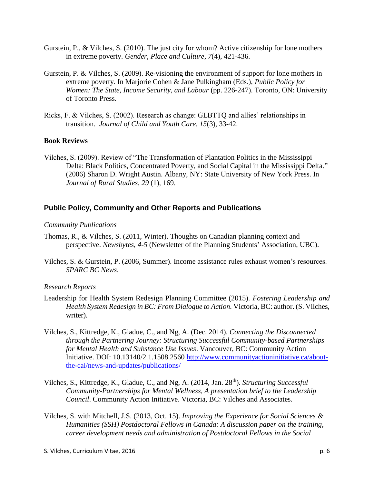- Gurstein, P., & Vilches, S. (2010). The just city for whom? Active citizenship for lone mothers in extreme poverty. *Gender, Place and Culture*, *7*(4), 421-436.
- Gurstein, P. & Vilches, S. (2009). Re-visioning the environment of support for lone mothers in extreme poverty. In Marjorie Cohen & Jane Pulkingham (Eds.), *Public Policy for Women: The State, Income Security, and Labour (pp. 226-247). Toronto, ON: University* of Toronto Press.
- Ricks, F. & Vilches, S. (2002). Research as change: GLBTTQ and allies' relationships in transition. *Journal of Child and Youth Care, 15*(3), 33-42.

#### **Book Reviews**

Vilches, S. (2009). Review of "The Transformation of Plantation Politics in the Mississippi Delta: Black Politics, Concentrated Poverty, and Social Capital in the Mississippi Delta." (2006) Sharon D. Wright Austin. Albany, NY: State University of New York Press. In *Journal of Rural Studies*, *29* (1), 169.

#### **Public Policy, Community and Other Reports and Publications**

#### *Community Publications*

- Thomas, R., & Vilches, S. (2011, Winter). Thoughts on Canadian planning context and perspective. *Newsbytes, 4-5* (Newsletter of the Planning Students' Association, UBC).
- Vilches, S. & Gurstein, P. (2006, Summer). Income assistance rules exhaust women's resources. *SPARC BC News*.

#### *Research Reports*

- Leadership for Health System Redesign Planning Committee (2015). *Fostering Leadership and Health System Redesign in BC: From Dialogue to Action.* Victoria, BC: author. (S. Vilches, writer).
- Vilches, S., Kittredge, K., Gladue, C., and Ng, A. (Dec. 2014). *Connecting the Disconnected through the Partnering Journey: Structuring Successful Community-based Partnerships for Mental Health and Substance Use Issues*. Vancouver, BC: Community Action Initiative. DOI: 10.13140/2.1.1508.2560 [http://www.communityactioninitiative.ca/about](http://www.communityactioninitiative.ca/about-the-cai/news-and-updates/publications/)[the-cai/news-and-updates/publications/](http://www.communityactioninitiative.ca/about-the-cai/news-and-updates/publications/)
- Vilches, S., Kittredge, K., Gladue, C., and Ng, A. (2014, Jan. 28th). *Structuring Successful Community-Partnerships for Mental Wellness, A presentation brief to the Leadership Council*. Community Action Initiative. Victoria, BC: Vilches and Associates.
- Vilches, S. with Mitchell, J.S. (2013, Oct. 15). *Improving the Experience for Social Sciences & Humanities (SSH) Postdoctoral Fellows in Canada: A discussion paper on the training, career development needs and administration of Postdoctoral Fellows in the Social*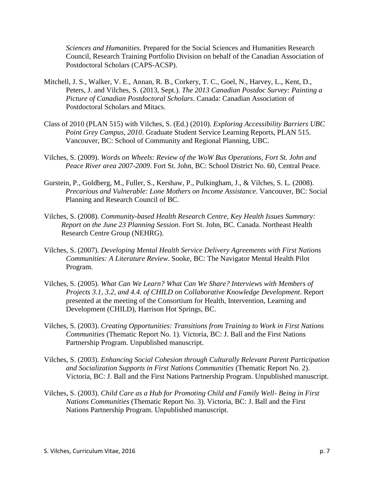*Sciences and Humanities*. Prepared for the Social Sciences and Humanities Research Council, Research Training Portfolio Division on behalf of the Canadian Association of Postdoctoral Scholars (CAPS-ACSP).

- Mitchell, J. S., Walker, V. E., Annan, R. B., Corkery, T. C., Goel, N., Harvey, L., Kent, D., Peters, J. and Vilches, S. (2013, Sept.). *The 2013 Canadian Postdoc Survey: Painting a Picture of Canadian Postdoctoral Scholars*. Canada: Canadian Association of Postdoctoral Scholars and Mitacs.
- Class of 2010 (PLAN 515) with Vilches, S. (Ed.) (2010). *Exploring Accessibility Barriers UBC Point Grey Campus, 2010*. Graduate Student Service Learning Reports, PLAN 515. Vancouver, BC: School of Community and Regional Planning, UBC.
- Vilches, S. (2009). *Words on Wheels: Review of the WoW Bus Operations*, *Fort St. John and Peace River area 2007-2009*. Fort St. John, BC: School District No. 60, Central Peace.
- Gurstein, P., Goldberg, M., Fuller, S., Kershaw, P., Pulkingham, J., & Vilches, S. L. (2008). *Precarious and Vulnerable: Lone Mothers on Income Assistance*. Vancouver, BC: Social Planning and Research Council of BC.
- Vilches, S. (2008). *Community-based Health Research Centre, Key Health Issues Summary: Report on the June 23 Planning Session*. Fort St. John, BC. Canada. Northeast Health Research Centre Group (NEHRG).
- Vilches, S. (2007). *Developing Mental Health Service Delivery Agreements with First Nations Communities: A Literature Review*. Sooke, BC: The Navigator Mental Health Pilot Program.
- Vilches, S. (2005). *What Can We Learn? What Can We Share? Interviews with Members of Projects 3.1, 3.2, and 4.4. of CHILD on Collaborative Knowledge Development*. Report presented at the meeting of the Consortium for Health, Intervention, Learning and Development (CHILD), Harrison Hot Springs, BC.
- Vilches, S. (2003). *Creating Opportunities: Transitions from Training to Work in First Nations Communities* (Thematic Report No. 1). Victoria, BC: J. Ball and the First Nations Partnership Program. Unpublished manuscript.
- Vilches, S. (2003). *Enhancing Social Cohesion through Culturally Relevant Parent Participation and Socialization Supports in First Nations Communities* (Thematic Report No. 2). Victoria, BC: J. Ball and the First Nations Partnership Program. Unpublished manuscript.
- Vilches, S. (2003). *Child Care as a Hub for Promoting Child and Family Well- Being in First Nations Communities* (Thematic Report No. 3). Victoria, BC: J. Ball and the First Nations Partnership Program. Unpublished manuscript.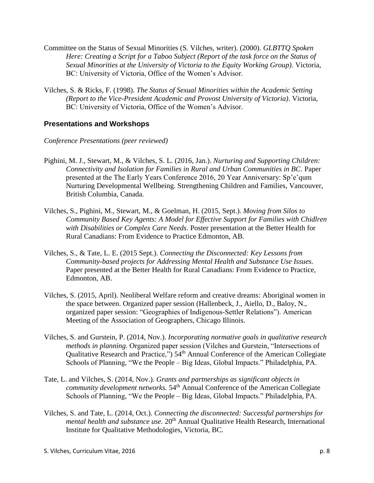- Committee on the Status of Sexual Minorities (S. Vilches, writer). (2000). *GLBTTQ Spoken Here: Creating a Script for a Taboo Subject (Report of the task force on the Status of Sexual Minorities at the University of Victoria to the Equity Working Group)*. Victoria, BC: University of Victoria, Office of the Women's Advisor.
- Vilches, S. & Ricks, F. (1998). *The Status of Sexual Minorities within the Academic Setting (Report to the Vice-President Academic and Provost University of Victoria)*. Victoria, BC: University of Victoria, Office of the Women's Advisor.

# **Presentations and Workshops**

- *Conference Presentations (peer reviewed)*
- Pighini, M. J., Stewart, M., & Vilches, S. L. (2016, Jan.). *Nurturing and Supporting Children: Connectivity and Isolation for Families in Rural and Urban Communities in BC*. Paper presented at the The Early Years Conference 2016, 20 Year Anniversary: Sp'e'qum Nurturing Developmental Wellbeing. Strengthening Children and Families, Vancouver, British Columbia, Canada.
- Vilches, S., Pighini, M., Stewart, M., & Goelman, H. (2015, Sept.). *Moving from Silos to Community Based Key Agents: A Model for Effective Support for Families with Chidlren with Disabilities or Complex Care Needs*. Poster presentation at the Better Health for Rural Canadians: From Evidence to Practice Edmonton, AB.
- Vilches, S., & Tate, L. E. (2015 Sept.). *Connecting the Disconnected: Key Lessons from Community-based projects for Addressing Mental Health and Substance Use Issues.* Paper presented at the Better Health for Rural Canadians: From Evidence to Practice, Edmonton, AB.
- Vilches, S. (2015, April). Neoliberal Welfare reform and creative dreams: Aboriginal women in the space between. Organized paper session (Hallenbeck, J., Aiello, D., Baloy, N., organized paper session: "Geographies of Indigenous-Settler Relations"). American Meeting of the Association of Geographers, Chicago Illinois.
- Vilches, S. and Gurstein, P. (2014, Nov.). *Incorporating normative goals in qualitative research methods in planning.* Organized paper session (Vilches and Gurstein, "Intersections of Qualitative Research and Practice,") 54<sup>th</sup> Annual Conference of the American Collegiate Schools of Planning, "We the People – Big Ideas, Global Impacts." Philadelphia, PA.
- Tate, L. and Vilches, S. (2014, Nov.). *Grants and partnerships as significant objects in community development networks.* 54<sup>th</sup> Annual Conference of the American Collegiate Schools of Planning, "We the People – Big Ideas, Global Impacts." Philadelphia, PA.
- Vilches, S. and Tate, L. (2014, Oct.). *Connecting the disconnected: Successful partnerships for mental health and substance use.* 20<sup>th</sup> Annual Qualitative Health Research, International Institute for Qualitative Methodologies, Victoria, BC.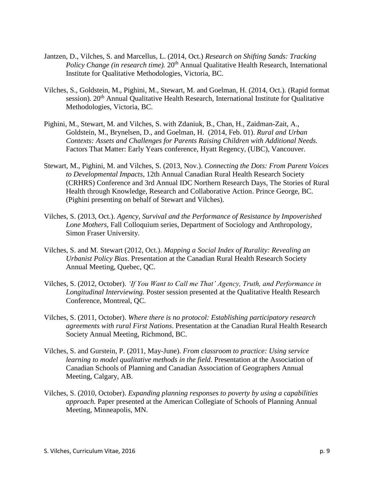- Jantzen, D., Vilches, S. and Marcellus, L. (2014, Oct.) *Research on Shifting Sands: Tracking Policy Change (in research time).* 20<sup>th</sup> Annual Qualitative Health Research, International Institute for Qualitative Methodologies, Victoria, BC.
- Vilches, S., Goldstein, M., Pighini, M., Stewart, M. and Goelman, H. (2014, Oct.). (Rapid format session). 20<sup>th</sup> Annual Qualitative Health Research, International Institute for Qualitative Methodologies, Victoria, BC.
- Pighini, M., Stewart, M. and Vilches, S. with Zdaniuk, B., Chan, H., Zaidman-Zait, A., Goldstein, M., Brynelsen, D., and Goelman, H. (2014, Feb. 01). *Rural and Urban Contexts: Assets and Challenges for Parents Raising Children with Additional Needs.*  Factors That Matter: Early Years conference, Hyatt Regency, (UBC), Vancouver.
- Stewart, M., Pighini, M. and Vilches, S. (2013, Nov.). *Connecting the Dots: From Parent Voices to Developmental Impacts*, 12th Annual Canadian Rural Health Research Society (CRHRS) Conference and 3rd Annual IDC Northern Research Days, The Stories of Rural Health through Knowledge, Research and Collaborative Action. Prince George, BC. (Pighini presenting on behalf of Stewart and Vilches).
- Vilches, S. (2013, Oct.). *Agency, Survival and the Performance of Resistance by Impoverished Lone Mothers*, Fall Colloquium series, Department of Sociology and Anthropology, Simon Fraser University.
- Vilches, S. and M. Stewart (2012, Oct.). *Mapping a Social Index of Rurality: Revealing an Urbanist Policy Bias*. Presentation at the Canadian Rural Health Research Society Annual Meeting, Quebec, QC.
- Vilches, S. (2012, October). *'If You Want to Call me That' Agency, Truth, and Performance in Longitudinal Interviewing*. Poster session presented at the Qualitative Health Research Conference, Montreal, QC.
- Vilches, S. (2011, October). *Where there is no protocol: Establishing participatory research agreements with rural First Nations*. Presentation at the Canadian Rural Health Research Society Annual Meeting, Richmond, BC.
- Vilches, S. and Gurstein, P. (2011, May-June). *From classroom to practice: Using service learning to model qualitative methods in the field*. Presentation at the Association of Canadian Schools of Planning and Canadian Association of Geographers Annual Meeting, Calgary, AB.
- Vilches, S. (2010, October). *Expanding planning responses to poverty by using a capabilities approach.* Paper presented at the American Collegiate of Schools of Planning Annual Meeting, Minneapolis, MN.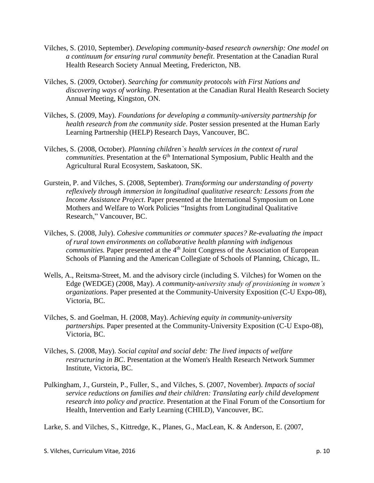- Vilches, S. (2010, September). *Developing community-based research ownership: One model on a continuum for ensuring rural community benefit*. Presentation at the Canadian Rural Health Research Society Annual Meeting, Fredericton, NB.
- Vilches, S. (2009, October). *Searching for community protocols with First Nations and discovering ways of working*. Presentation at the Canadian Rural Health Research Society Annual Meeting, Kingston, ON.
- Vilches, S. (2009, May). *Foundations for developing a community-university partnership for health research from the community side*. Poster session presented at the Human Early Learning Partnership (HELP) Research Days, Vancouver, BC.
- Vilches, S. (2008, October). *Planning children`s health services in the context of rural*  communities. Presentation at the 6<sup>th</sup> International Symposium, Public Health and the Agricultural Rural Ecosystem, Saskatoon, SK.
- Gurstein, P. and Vilches, S. (2008, September). *Transforming our understanding of poverty reflexively through immersion in longitudinal qualitative research: Lessons from the Income Assistance Project*. Paper presented at the International Symposium on Lone Mothers and Welfare to Work Policies "Insights from Longitudinal Qualitative Research," Vancouver, BC.
- Vilches, S. (2008, July). *Cohesive communities or commuter spaces? Re-evaluating the impact of rural town environments on collaborative health planning with indigenous*  communities. Paper presented at the 4<sup>th</sup> Joint Congress of the Association of European Schools of Planning and the American Collegiate of Schools of Planning, Chicago, IL.
- Wells, A., Reitsma-Street, M. and the advisory circle (including S. Vilches) for Women on the Edge (WEDGE) (2008, May). *A community-university study of provisioning in women's organizations*. Paper presented at the Community-University Exposition (C-U Expo-08), Victoria, BC.
- Vilches, S. and Goelman, H. (2008, May). *Achieving equity in community-university partnerships.* Paper presented at the Community-University Exposition (C-U Expo-08), Victoria, BC.
- Vilches, S. (2008, May). *Social capital and social debt: The lived impacts of welfare restructuring in BC*. Presentation at the Women's Health Research Network Summer Institute, Victoria, BC.
- Pulkingham, J., Gurstein, P., Fuller, S., and Vilches, S. (2007, November). *Impacts of social service reductions on families and their children: Translating early child development research into policy and practice*. Presentation at the Final Forum of the Consortium for Health, Intervention and Early Learning (CHILD), Vancouver, BC.

Larke, S. and Vilches, S., Kittredge, K., Planes, G., MacLean, K. & Anderson, E. (2007,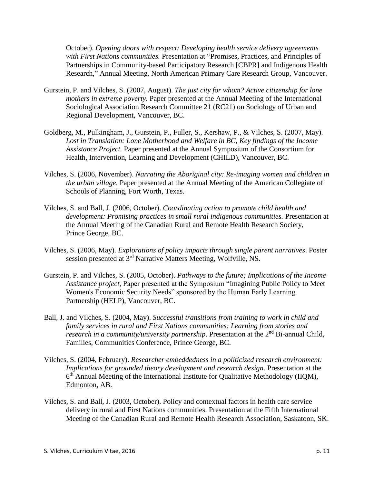October). *Opening doors with respect: Developing health service delivery agreements with First Nations communities.* Presentation at "Promises, Practices, and Principles of Partnerships in Community-based Participatory Research [CBPR] and Indigenous Health Research," Annual Meeting, North American Primary Care Research Group, Vancouver.

- Gurstein, P. and Vilches, S. (2007, August). *The just city for whom? Active citizenship for lone mothers in extreme poverty.* Paper presented at the Annual Meeting of the International Sociological Association Research Committee 21 (RC21) on Sociology of Urban and Regional Development, Vancouver, BC.
- Goldberg, M., Pulkingham, J., Gurstein, P., Fuller, S., Kershaw, P., & Vilches, S. (2007, May). *Lost in Translation: Lone Motherhood and Welfare in BC, Key findings of the Income Assistance Project.* Paper presented at the Annual Symposium of the Consortium for Health, Intervention, Learning and Development (CHILD), Vancouver, BC.
- Vilches, S. (2006, November). *Narrating the Aboriginal city: Re-imaging women and children in the urban village.* Paper presented at the Annual Meeting of the American Collegiate of Schools of Planning, Fort Worth, Texas.
- Vilches, S. and Ball, J. (2006, October). *Coordinating action to promote child health and development: Promising practices in small rural indigenous communities.* Presentation at the Annual Meeting of the Canadian Rural and Remote Health Research Society, Prince George, BC.
- Vilches, S. (2006, May). *Explorations of policy impacts through single parent narratives*. Poster session presented at 3<sup>rd</sup> Narrative Matters Meeting, Wolfville, NS.
- Gurstein, P. and Vilches, S. (2005, October). *Pathways to the future; Implications of the Income Assistance project,* Paper presented at the Symposium "Imagining Public Policy to Meet Women's Economic Security Needs" sponsored by the Human Early Learning Partnership (HELP), Vancouver, BC.
- Ball, J. and Vilches, S. (2004, May). *Successful transitions from training to work in child and family services in rural and First Nations communities: Learning from stories and research in a community/university partnership.* Presentation at the 2<sup>nd</sup> Bi-annual Child, Families, Communities Conference, Prince George, BC.
- Vilches, S. (2004, February). *Researcher embeddedness in a politicized research environment: Implications for grounded theory development and research design*. Presentation at the 6<sup>th</sup> Annual Meeting of the International Institute for Qualitative Methodology (IIQM), Edmonton, AB.
- Vilches, S. and Ball, J. (2003, October). Policy and contextual factors in health care service delivery in rural and First Nations communities. Presentation at the Fifth International Meeting of the Canadian Rural and Remote Health Research Association, Saskatoon, SK.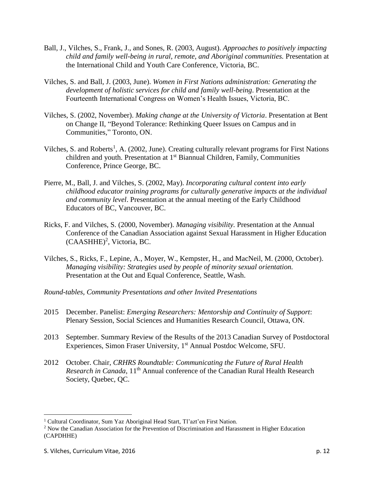- Ball, J., Vilches, S., Frank, J., and Sones, R. (2003, August). *Approaches to positively impacting child and family well-being in rural, remote, and Aboriginal communities.* Presentation at the International Child and Youth Care Conference, Victoria, BC.
- Vilches, S. and Ball, J. (2003, June). *Women in First Nations administration: Generating the development of holistic services for child and family well-being*. Presentation at the Fourteenth International Congress on Women's Health Issues, Victoria, BC.
- Vilches, S. (2002, November). *Making change at the University of Victoria*. Presentation at Bent on Change II, "Beyond Tolerance: Rethinking Queer Issues on Campus and in Communities," Toronto, ON.
- Vilches, S. and Roberts<sup>1</sup>, A. (2002, June). Creating culturally relevant programs for First Nations children and youth. Presentation at 1<sup>st</sup> Biannual Children, Family, Communities Conference, Prince George, BC.
- Pierre, M., Ball, J. and Vilches, S. (2002, May). *Incorporating cultural content into early childhood educator training programs for culturally generative impacts at the individual and community level*. Presentation at the annual meeting of the Early Childhood Educators of BC, Vancouver, BC.
- Ricks, F. and Vilches, S. (2000, November). *Managing visibility.* Presentation at the Annual Conference of the Canadian Association against Sexual Harassment in Higher Education  $(CAASHHE)^2$ , Victoria, BC.
- Vilches, S., Ricks, F., Lepine, A., Moyer, W., Kempster, H., and MacNeil, M. (2000, October). *Managing visibility: Strategies used by people of minority sexual orientation.*  Presentation at the Out and Equal Conference, Seattle, Wash.
- *Round-tables, Community Presentations and other Invited Presentations*
- 2015 December. Panelist: *Emerging Researchers: Mentorship and Continuity of Support*: Plenary Session, Social Sciences and Humanities Research Council, Ottawa, ON.
- 2013 September. Summary Review of the Results of the 2013 Canadian Survey of Postdoctoral Experiences, Simon Fraser University, 1<sup>st</sup> Annual Postdoc Welcome, SFU.
- 2012 October. Chair, *CRHRS Roundtable: Communicating the Future of Rural Health Research in Canada*, 11<sup>th</sup> Annual conference of the Canadian Rural Health Research Society, Quebec, QC.

 $\overline{a}$ 

<sup>&</sup>lt;sup>1</sup> Cultural Coordinator, Sum Yaz Aboriginal Head Start, Tl'azt'en First Nation.

<sup>2</sup> Now the Canadian Association for the Prevention of Discrimination and Harassment in Higher Education (CAPDHHE)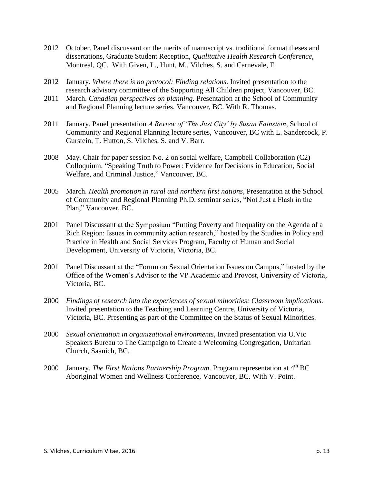- 2012 October. Panel discussant on the merits of manuscript vs. traditional format theses and dissertations, Graduate Student Reception, *Qualitative Health Research Conference*, Montreal, QC. With Given, L., Hunt, M., Vilches, S. and Carnevale, F.
- 2012 January. *Where there is no protocol: Finding relations*. Invited presentation to the research advisory committee of the Supporting All Children project, Vancouver, BC.
- 2011 March. *Canadian perspectives on planning.* Presentation at the School of Community and Regional Planning lecture series, Vancouver, BC. With R. Thomas.
- 2011 January. Panel presentation *A Review of 'The Just City' by Susan Fainstein*, School of Community and Regional Planning lecture series, Vancouver, BC with L. Sandercock, P. Gurstein, T. Hutton, S. Vilches, S. and V. Barr.
- 2008 May. Chair for paper session No. 2 on social welfare, Campbell Collaboration (C2) Colloquium, "Speaking Truth to Power: Evidence for Decisions in Education, Social Welfare, and Criminal Justice," Vancouver, BC.
- 2005 March. *Health promotion in rural and northern first nations*, Presentation at the School of Community and Regional Planning Ph.D. seminar series, "Not Just a Flash in the Plan," Vancouver, BC.
- 2001 Panel Discussant at the Symposium "Putting Poverty and Inequality on the Agenda of a Rich Region: Issues in community action research," hosted by the Studies in Policy and Practice in Health and Social Services Program, Faculty of Human and Social Development, University of Victoria, Victoria, BC.
- 2001 Panel Discussant at the "Forum on Sexual Orientation Issues on Campus," hosted by the Office of the Women's Advisor to the VP Academic and Provost, University of Victoria, Victoria, BC.
- 2000 *Findings of research into the experiences of sexual minorities: Classroom implications*. Invited presentation to the Teaching and Learning Centre, University of Victoria, Victoria, BC. Presenting as part of the Committee on the Status of Sexual Minorities.
- 2000 *Sexual orientation in organizational environments*, Invited presentation via U.Vic Speakers Bureau to The Campaign to Create a Welcoming Congregation, Unitarian Church, Saanich, BC.
- 2000 January. *The First Nations Partnership Program*. Program representation at 4<sup>th</sup> BC Aboriginal Women and Wellness Conference, Vancouver, BC. With V. Point.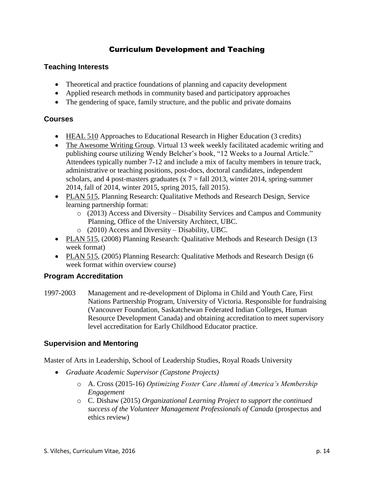# Curriculum Development and Teaching

# **Teaching Interests**

- Theoretical and practice foundations of planning and capacity development
- Applied research methods in community based and participatory approaches
- The gendering of space, family structure, and the public and private domains

# **Courses**

- HEAL 510 Approaches to Educational Research in Higher Education (3 credits)
- The Awesome Writing Group. Virtual 13 week weekly facilitated academic writing and publishing course utilizing Wendy Belcher's book, "12 Weeks to a Journal Article." Attendees typically number 7-12 and include a mix of faculty members in tenure track, administrative or teaching positions, post-docs, doctoral candidates, independent scholars, and 4 post-masters graduates ( $x$  7 = fall 2013, winter 2014, spring-summer 2014, fall of 2014, winter 2015, spring 2015, fall 2015).
- PLAN 515, Planning Research: Qualitative Methods and Research Design, Service learning partnership format:
	- $\circ$  (2013) Access and Diversity Disability Services and Campus and Community Planning, Office of the University Architect, UBC.
	- o (2010) Access and Diversity Disability, UBC.
- PLAN 515, (2008) Planning Research: Qualitative Methods and Research Design (13 week format)
- PLAN 515, (2005) Planning Research: Qualitative Methods and Research Design (6 week format within overview course)

# **Program Accreditation**

1997-2003 Management and re-development of Diploma in Child and Youth Care, First Nations Partnership Program, University of Victoria. Responsible for fundraising (Vancouver Foundation, Saskatchewan Federated Indian Colleges, Human Resource Development Canada) and obtaining accreditation to meet supervisory level accreditation for Early Childhood Educator practice.

# **Supervision and Mentoring**

Master of Arts in Leadership, School of Leadership Studies, Royal Roads University

- *Graduate Academic Supervisor (Capstone Projects)*
	- o A. Cross (2015-16) *Optimizing Foster Care Alumni of America's Membership Engagement*
	- o C. Dishaw (2015) *Organizational Learning Project to support the continued success of the Volunteer Management Professionals of Canada* (prospectus and ethics review)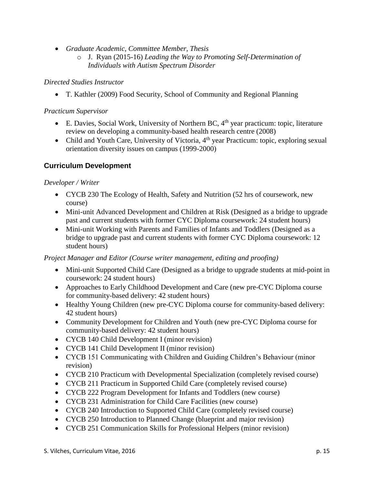- *Graduate Academic, Committee Member, Thesis* 
	- o J. Ryan (2015-16) *Leading the Way to Promoting Self-Determination of Individuals with Autism Spectrum Disorder*

# *Directed Studies Instructor*

T. Kathler (2009) Food Security, School of Community and Regional Planning

# *Practicum Supervisor*

- E. Davies, Social Work, University of Northern BC,  $4<sup>th</sup>$  year practicum: topic, literature review on developing a community-based health research centre (2008)
- Child and Youth Care, University of Victoria, 4<sup>th</sup> year Practicum: topic, exploring sexual orientation diversity issues on campus (1999-2000)

# **Curriculum Development**

# *Developer / Writer*

- CYCB 230 The Ecology of Health, Safety and Nutrition (52 hrs of coursework, new course)
- Mini-unit Advanced Development and Children at Risk (Designed as a bridge to upgrade past and current students with former CYC Diploma coursework: 24 student hours)
- Mini-unit Working with Parents and Families of Infants and Toddlers (Designed as a bridge to upgrade past and current students with former CYC Diploma coursework: 12 student hours)

# *Project Manager and Editor (Course writer management, editing and proofing)*

- Mini-unit Supported Child Care (Designed as a bridge to upgrade students at mid-point in coursework: 24 student hours)
- Approaches to Early Childhood Development and Care (new pre-CYC Diploma course for community-based delivery: 42 student hours)
- Healthy Young Children (new pre-CYC Diploma course for community-based delivery: 42 student hours)
- Community Development for Children and Youth (new pre-CYC Diploma course for community-based delivery: 42 student hours)
- CYCB 140 Child Development I (minor revision)
- CYCB 141 Child Development II (minor revision)
- CYCB 151 Communicating with Children and Guiding Children's Behaviour (minor revision)
- CYCB 210 Practicum with Developmental Specialization (completely revised course)
- CYCB 211 Practicum in Supported Child Care (completely revised course)
- CYCB 222 Program Development for Infants and Toddlers (new course)
- CYCB 231 Administration for Child Care Facilities (new course)
- CYCB 240 Introduction to Supported Child Care (completely revised course)
- CYCB 250 Introduction to Planned Change (blueprint and major revision)
- CYCB 251 Communication Skills for Professional Helpers (minor revision)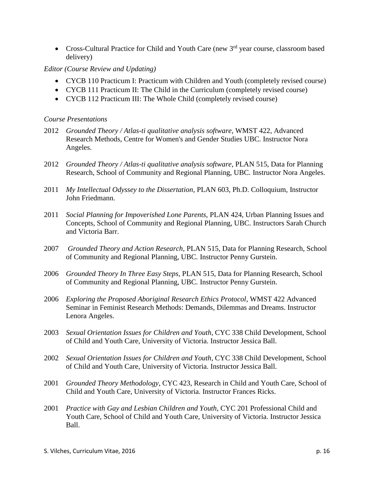• Cross-Cultural Practice for Child and Youth Care (new 3<sup>rd</sup> year course, classroom based delivery)

#### *Editor (Course Review and Updating)*

- CYCB 110 Practicum I: Practicum with Children and Youth (completely revised course)
- CYCB 111 Practicum II: The Child in the Curriculum (completely revised course)
- CYCB 112 Practicum III: The Whole Child (completely revised course)

#### *Course Presentations*

- 2012 *Grounded Theory / Atlas-ti qualitative analysis software*, WMST 422, Advanced Research Methods, Centre for Women's and Gender Studies UBC. Instructor Nora Angeles.
- 2012 *Grounded Theory / Atlas-ti qualitative analysis software*, PLAN 515, Data for Planning Research, School of Community and Regional Planning, UBC*.* Instructor Nora Angeles.
- 2011 *My Intellectual Odyssey to the Dissertation,* PLAN 603, Ph.D. Colloquium, Instructor John Friedmann.
- 2011 *Social Planning for Impoverished Lone Parents,* PLAN 424, Urban Planning Issues and Concepts, School of Community and Regional Planning, UBC*.* Instructors Sarah Church and Victoria Barr.
- 2007 *Grounded Theory and Action Research,* PLAN 515, Data for Planning Research, School of Community and Regional Planning, UBC*.* Instructor Penny Gurstein.
- 2006 *Grounded Theory In Three Easy Steps*, PLAN 515, Data for Planning Research, School of Community and Regional Planning, UBC*.* Instructor Penny Gurstein.
- 2006 *Exploring the Proposed Aboriginal Research Ethics Protocol*, WMST 422 Advanced Seminar in Feminist Research Methods: Demands, Dilemmas and Dreams. Instructor Lenora Angeles.
- 2003 *Sexual Orientation Issues for Children and Youth*, CYC 338 Child Development, School of Child and Youth Care, University of Victoria. Instructor Jessica Ball.
- 2002 *Sexual Orientation Issues for Children and Youth*, CYC 338 Child Development, School of Child and Youth Care, University of Victoria. Instructor Jessica Ball.
- 2001 *Grounded Theory Methodology*, CYC 423, Research in Child and Youth Care, School of Child and Youth Care, University of Victoria. Instructor Frances Ricks.
- 2001 *Practice with Gay and Lesbian Children and Youth*, CYC 201 Professional Child and Youth Care, School of Child and Youth Care, University of Victoria. Instructor Jessica Ball.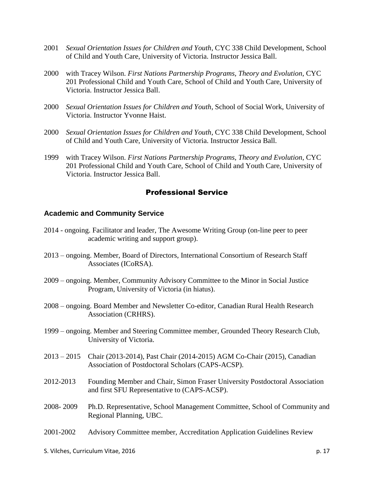- 2001 *Sexual Orientation Issues for Children and Youth*, CYC 338 Child Development, School of Child and Youth Care, University of Victoria. Instructor Jessica Ball.
- 2000 with Tracey Wilson. *First Nations Partnership Programs, Theory and Evolution*, CYC 201 Professional Child and Youth Care, School of Child and Youth Care, University of Victoria. Instructor Jessica Ball.
- 2000 *Sexual Orientation Issues for Children and Youth*, School of Social Work, University of Victoria. Instructor Yvonne Haist.
- 2000 *Sexual Orientation Issues for Children and Youth*, CYC 338 Child Development, School of Child and Youth Care, University of Victoria. Instructor Jessica Ball.
- 1999 with Tracey Wilson. *First Nations Partnership Programs, Theory and Evolution*, CYC 201 Professional Child and Youth Care, School of Child and Youth Care, University of Victoria. Instructor Jessica Ball.

# Professional Service

#### **Academic and Community Service**

- 2014 ongoing. Facilitator and leader, The Awesome Writing Group (on-line peer to peer academic writing and support group).
- 2013 ongoing. Member, Board of Directors, International Consortium of Research Staff Associates (ICoRSA).
- 2009 ongoing. Member, Community Advisory Committee to the Minor in Social Justice Program, University of Victoria (in hiatus).
- 2008 ongoing. Board Member and Newsletter Co-editor, Canadian Rural Health Research Association (CRHRS).
- 1999 ongoing. Member and Steering Committee member, Grounded Theory Research Club, University of Victoria.
- 2013 2015 Chair (2013-2014), Past Chair (2014-2015) AGM Co-Chair (2015), Canadian Association of Postdoctoral Scholars (CAPS-ACSP).
- 2012-2013 Founding Member and Chair, Simon Fraser University Postdoctoral Association and first SFU Representative to (CAPS-ACSP).
- 2008- 2009 Ph.D. Representative, School Management Committee, School of Community and Regional Planning, UBC.
- 2001-2002 Advisory Committee member, Accreditation Application Guidelines Review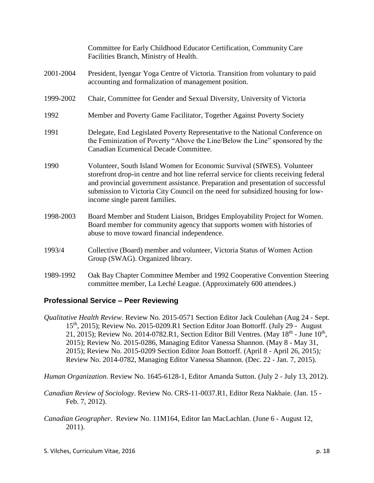|           | Committee for Early Childhood Educator Certification, Community Care<br>Facilities Branch, Ministry of Health.                                                                                                                                                                                                                                                           |
|-----------|--------------------------------------------------------------------------------------------------------------------------------------------------------------------------------------------------------------------------------------------------------------------------------------------------------------------------------------------------------------------------|
| 2001-2004 | President, Iyengar Yoga Centre of Victoria. Transition from voluntary to paid<br>accounting and formalization of management position.                                                                                                                                                                                                                                    |
| 1999-2002 | Chair, Committee for Gender and Sexual Diversity, University of Victoria                                                                                                                                                                                                                                                                                                 |
| 1992      | Member and Poverty Game Facilitator, Together Against Poverty Society                                                                                                                                                                                                                                                                                                    |
| 1991      | Delegate, End Legislated Poverty Representative to the National Conference on<br>the Feminization of Poverty "Above the Line/Below the Line" sponsored by the<br>Canadian Ecumenical Decade Committee.                                                                                                                                                                   |
| 1990      | Volunteer, South Island Women for Economic Survival (SIWES). Volunteer<br>storefront drop-in centre and hot line referral service for clients receiving federal<br>and provincial government assistance. Preparation and presentation of successful<br>submission to Victoria City Council on the need for subsidized housing for low-<br>income single parent families. |
| 1998-2003 | Board Member and Student Liaison, Bridges Employability Project for Women.<br>Board member for community agency that supports women with histories of<br>abuse to move toward financial independence.                                                                                                                                                                    |
| 1993/4    | Collective (Board) member and volunteer, Victoria Status of Women Action<br>Group (SWAG). Organized library.                                                                                                                                                                                                                                                             |
| 1989-1992 | Oak Bay Chapter Committee Member and 1992 Cooperative Convention Steering<br>committee member, La Leché League. (Approximately 600 attendees.)                                                                                                                                                                                                                           |

#### **Professional Service – Peer Reviewing**

*Qualitative Health Review.* Review No. 2015-0571 Section Editor Jack Coulehan (Aug 24 - Sept. 15th, 2015); Review No. 2015-0209.R1 Section Editor Joan Bottorff. (July 29 - August 21, 2015); Review No. 2014-0782.R1, Section Editor Bill Ventres. (May  $18<sup>th</sup>$  - June  $10<sup>th</sup>$ , 2015); Review No. 2015-0286, Managing Editor Vanessa Shannon. (May 8 - May 31, 2015); Review No. 2015-0209 Section Editor Joan Bottorff. (April 8 - April 26, 2015)*;*  Review No. 2014-0782, Managing Editor Vanessa Shannon. (Dec. 22 - Jan. 7, 2015).

*Human Organization*. Review No. 1645-6128-1, Editor Amanda Sutton. (July 2 - July 13, 2012).

- *Canadian Review of Sociology*. Review No. CRS-11-0037.R1, Editor Reza Nakhaie. (Jan. 15 Feb. 7, 2012).
- *Canadian Geographer*. Review No. 11M164, Editor Ian MacLachlan. (June 6 August 12, 2011).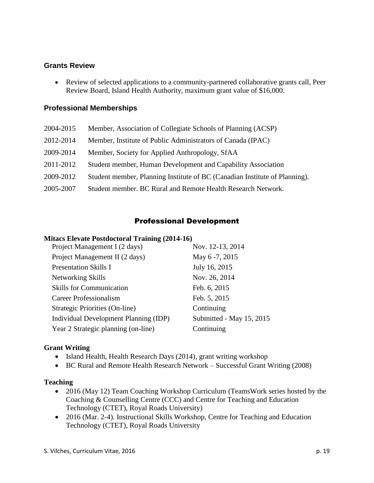### **Grants Review**

 Review of selected applications to a community-partnered collaborative grants call, Peer Review Board, Island Health Authority, maximum grant value of \$16,000.

### **Professional Memberships**

- 2004-2015 Member, Association of Collegiate Schools of Planning (ACSP)
- 2012-2014 Member, Institute of Public Administrators of Canada (IPAC)
- 2009-2014 Member, Society for Applied Anthropology, SfAA
- 2011-2012 Student member, Human Development and Capability Association
- 2009-2012 Student member, Planning Institute of BC (Canadian Institute of Planning).
- 2005-2007 Student member. BC Rural and Remote Health Research Network.

# Professional Development

#### **Mitacs Elevate Postdoctoral Training (2014-16)**

| Project Management I (2 days)         | Nov. 12-13, 2014         |
|---------------------------------------|--------------------------|
| Project Management II (2 days)        | May 6-7, 2015            |
| <b>Presentation Skills I</b>          | July 16, 2015            |
| Networking Skills                     | Nov. 26, 2014            |
| <b>Skills for Communication</b>       | Feb. 6, 2015             |
| Career Professionalism                | Feb. 5, 2015             |
| Strategic Priorities (On-line)        | Continuing               |
| Individual Development Planning (IDP) | Submitted - May 15, 2015 |
| Year 2 Strategic planning (on-line)   | Continuing               |
|                                       |                          |

#### **Grant Writing**

- Island Health, Health Research Days (2014), grant writing workshop
- BC Rural and Remote Health Research Network Successful Grant Writing (2008)

#### **Teaching**

- 2016 (May 12) Team Coaching Workshop Curriculum (TeamsWork series hosted by the Coaching & Counselling Centre (CCC) and Centre for Teaching and Education Technology (CTET), Royal Roads University)
- 2016 (Mar. 2-4). Instructional Skills Workshop, Centre for Teaching and Education Technology (CTET), Royal Roads University